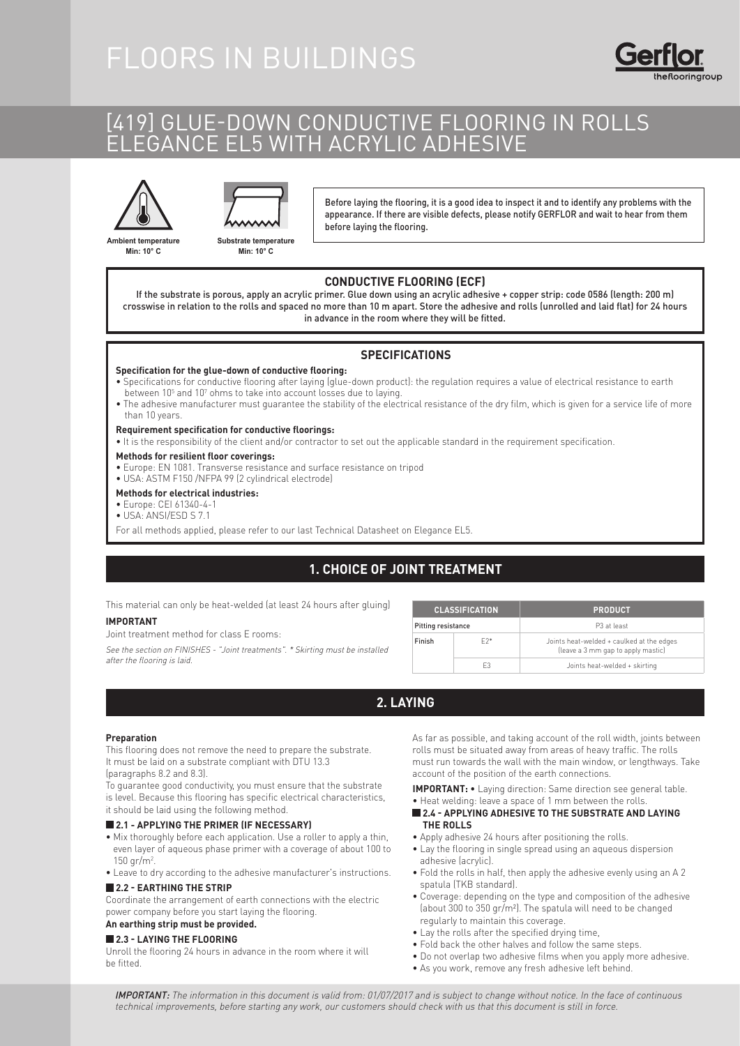# FLOORS IN BUILDINGS

# [419] GLUE-DOWN CONDUCTIVE FLOORING IN ROLLS ELEGANCE EL5 WITH ACRYLIC ADHESIVE





**Substrate temperature Min: 10° C**

Before laying the flooring, it is a good idea to inspect it and to identify any problems with the appearance. If there are visible defects, please notify GERFLOR and wait to hear from them before laying the flooring.

**Ambient temperature Min: 10° C**

#### **CONDUCTIVE FLOORING (ECF)**

If the substrate is porous, apply an acrylic primer. Glue down using an acrylic adhesive + copper strip: code 0586 (length: 200 m) crosswise in relation to the rolls and spaced no more than 10 m apart. Store the adhesive and rolls (unrolled and laid flat) for 24 hours in advance in the room where they will be fitted.

#### **SPECIFICATIONS**

#### **Specification for the glue-down of conductive flooring:**

- Specifications for conductive flooring after laying (glue-down product): the regulation requires a value of electrical resistance to earth between 10<sup>5</sup> and 10<sup>7</sup> ohms to take into account losses due to laying.
- The adhesive manufacturer must guarantee the stability of the electrical resistance of the dry film, which is given for a service life of more than 10 years.

#### **Requirement specification for conductive floorings:**

- It is the responsibility of the client and/or contractor to set out the applicable standard in the requirement specification.
- **Methods for resilient floor coverings:**
- Europe: EN 1081. Transverse resistance and surface resistance on tripod
- USA: ASTM F150 /NFPA 99 (2 cylindrical electrode)

#### **Methods for electrical industries:**

- Europe: CEI 61340-4-1
- USA: ANSI/ESD S 7.1
- For all methods applied, please refer to our last Technical Datasheet on Elegance EL5.

## **1. CHOICE OF JOINT TREATMENT**

This material can only be heat-welded (at least 24 hours after gluing)

#### **IMPORTANT**

Joint treatment method for class E rooms:

See the section on FINISHES - "Joint treatments". \* Skirting must be installed after the flooring is laid.

| <b>CLASSIFICATION</b> |       | <b>PRODUCT</b>                                                                  |
|-----------------------|-------|---------------------------------------------------------------------------------|
| Pitting resistance    |       | P3 at least                                                                     |
| Finish                | $E2*$ | Joints heat-welded + caulked at the edges<br>(leave a 3 mm gap to apply mastic) |
|                       | F3    | Joints heat-welded + skirting                                                   |

### **2. LAYING**

#### **Preparation**

This flooring does not remove the need to prepare the substrate. It must be laid on a substrate compliant with DTU 13.3 (paragraphs 8.2 and 8.3).

To guarantee good conductivity, you must ensure that the substrate is level. Because this flooring has specific electrical characteristics, it should be laid using the following method.

#### **2.1 - APPLYING THE PRIMER (IF NECESSARY)**

- Mix thoroughly before each application. Use a roller to apply a thin, even layer of aqueous phase primer with a coverage of about 100 to 150 gr/m<sup>2</sup>.
- Leave to dry according to the adhesive manufacturer's instructions.

### **2.2 - EARTHING THE STRIP**

Coordinate the arrangement of earth connections with the electric power company before you start laying the flooring.

#### **An earthing strip must be provided.**

#### **2.3 - LAYING THE FLOORING**

Unroll the flooring 24 hours in advance in the room where it will be fitted.

As far as possible, and taking account of the roll width, joints between rolls must be situated away from areas of heavy traffic. The rolls must run towards the wall with the main window, or lengthways. Take account of the position of the earth connections.

**IMPORTANT:** • Laying direction: Same direction see general table.

- Heat welding: leave a space of 1 mm between the rolls.
- **2.4 APPLYING ADHESIVE TO THE SUBSTRATE AND LAYING THE ROLLS**
- Apply adhesive 24 hours after positioning the rolls.
- Lay the flooring in single spread using an aqueous dispersion adhesive (acrylic).
- Fold the rolls in half, then apply the adhesive evenly using an A 2 spatula (TKB standard).
- Coverage: depending on the type and composition of the adhesive (about 300 to 350 gr/m²). The spatula will need to be changed regularly to maintain this coverage.
- Lay the rolls after the specified drying time,
- Fold back the other halves and follow the same steps.
- Do not overlap two adhesive films when you apply more adhesive.
- As you work, remove any fresh adhesive left behind.

IMPORTANT: The information in this document is valid from: 01/07/2017 and is subject to change without notice. In the face of continuous technical improvements, before starting any work, our customers should check with us that this document is still in force.